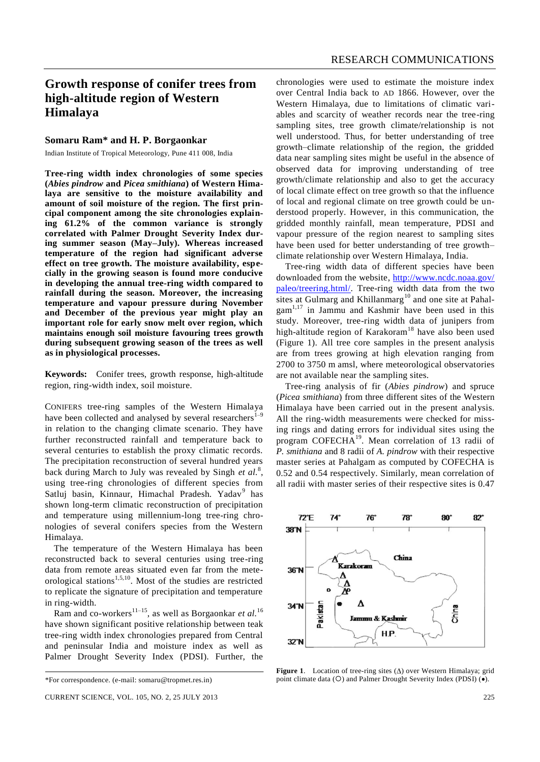## **Growth response of conifer trees from high-altitude region of Western Himalaya**

## **Somaru Ram\* and H. P. Borgaonkar**

Indian Institute of Tropical Meteorology, Pune 411 008, India

**Tree-ring width index chronologies of some species (***Abies pindrow* **and** *Picea smithiana***) of Western Himalaya are sensitive to the moisture availability and amount of soil moisture of the region. The first principal component among the site chronologies explaining 61.2% of the common variance is strongly correlated with Palmer Drought Severity Index during summer season (May–July). Whereas increased temperature of the region had significant adverse effect on tree growth. The moisture availability, especially in the growing season is found more conducive in developing the annual tree-ring width compared to rainfall during the season. Moreover, the increasing temperature and vapour pressure during November and December of the previous year might play an important role for early snow melt over region, which maintains enough soil moisture favouring trees growth during subsequent growing season of the trees as well as in physiological processes.**

**Keywords:** Conifer trees, growth response, high-altitude region, ring-width index, soil moisture.

CONIFERS tree-ring samples of the Western Himalaya have been collected and analysed by several researchers<sup>1–</sup> in relation to the changing climate scenario. They have further reconstructed rainfall and temperature back to several centuries to establish the proxy climatic records. The precipitation reconstruction of several hundred years back during March to July was revealed by Singh *et al.*<sup>8</sup> , using tree-ring chronologies of different species from Satluj basin, Kinnaur, Himachal Pradesh. Yadav<sup>9</sup> has shown long-term climatic reconstruction of precipitation and temperature using millennium-long tree-ring chronologies of several conifers species from the Western Himalaya.

The temperature of the Western Himalaya has been reconstructed back to several centuries using tree-ring data from remote areas situated even far from the meteorological stations<sup>1,5,10</sup>. Most of the studies are restricted to replicate the signature of precipitation and temperature in ring-width.

Ram and co-workers<sup>11–15</sup>, as well as Borgaonkar *et al.*<sup>16</sup> have shown significant positive relationship between teak tree-ring width index chronologies prepared from Central and peninsular India and moisture index as well as Palmer Drought Severity Index (PDSI). Further, the chronologies were used to estimate the moisture index over Central India back to AD 1866. However, over the Western Himalaya, due to limitations of climatic variables and scarcity of weather records near the tree-ring sampling sites, tree growth climate/relationship is not well understood. Thus, for better understanding of tree growth–climate relationship of the region, the gridded data near sampling sites might be useful in the absence of observed data for improving understanding of tree growth/climate relationship and also to get the accuracy of local climate effect on tree growth so that the influence of local and regional climate on tree growth could be understood properly. However, in this communication, the gridded monthly rainfall, mean temperature, PDSI and vapour pressure of the region nearest to sampling sites have been used for better understanding of tree growth– climate relationship over Western Himalaya, India.

Tree-ring width data of different species have been downloaded from the website, http://www.ncdc.noaa.gov/ paleo/treering.html/. Tree-ring width data from the two sites at Gulmarg and Khillanmarg<sup>10</sup> and one site at Pahalgam1,17 in Jammu and Kashmir have been used in this study. Moreover, tree-ring width data of junipers from high-altitude region of Karakoram<sup>18</sup> have also been used (Figure 1). All tree core samples in the present analysis are from trees growing at high elevation ranging from 2700 to 3750 m amsl, where meteorological observatories are not available near the sampling sites.

Tree-ring analysis of fir (*Abies pindrow*) and spruce (*Picea smithiana*) from three different sites of the Western Himalaya have been carried out in the present analysis. All the ring-width measurements were checked for missing rings and dating errors for individual sites using the program COFECHA<sup>19</sup>. Mean correlation of 13 radii of *P. smithiana* and 8 radii of *A. pindrow* with their respective master series at Pahalgam as computed by COFECHA is 0.52 and 0.54 respectively. Similarly, mean correlation of all radii with master series of their respective sites is 0.47



**Figure 1.** Location of tree-ring sites  $(\Delta)$  over Western Himalaya; grid point climate data (O) and Palmer Drought Severity Index (PDSI) ( $\bullet$ ).

<sup>\*</sup>For correspondence. (e-mail: somaru@tropmet.res.in)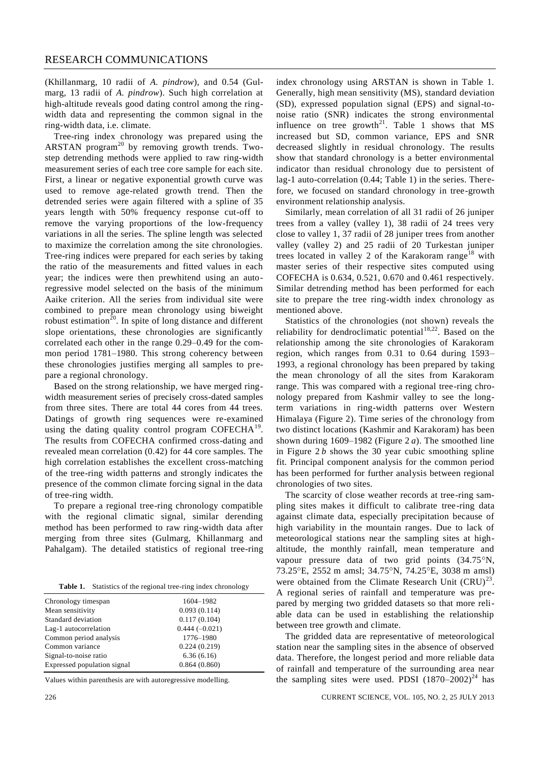## RESEARCH COMMUNICATIONS

(Khillanmarg, 10 radii of *A. pindrow*), and 0.54 (Gulmarg, 13 radii of *A. pindrow*). Such high correlation at high-altitude reveals good dating control among the ringwidth data and representing the common signal in the ring-width data, i.e. climate.

Tree-ring index chronology was prepared using the ARSTAN program<sup>20</sup> by removing growth trends. Twostep detrending methods were applied to raw ring-width measurement series of each tree core sample for each site. First, a linear or negative exponential growth curve was used to remove age-related growth trend. Then the detrended series were again filtered with a spline of 35 years length with 50% frequency response cut-off to remove the varying proportions of the low-frequency variations in all the series. The spline length was selected to maximize the correlation among the site chronologies. Tree-ring indices were prepared for each series by taking the ratio of the measurements and fitted values in each year; the indices were then prewhitend using an autoregressive model selected on the basis of the minimum Aaike criterion. All the series from individual site were combined to prepare mean chronology using biweight robust estimation<sup>20</sup>. In spite of long distance and different slope orientations, these chronologies are significantly correlated each other in the range 0.29–0.49 for the common period 1781–1980. This strong coherency between these chronologies justifies merging all samples to prepare a regional chronology.

Based on the strong relationship, we have merged ringwidth measurement series of precisely cross-dated samples from three sites. There are total 44 cores from 44 trees. Datings of growth ring sequences were re-examined using the dating quality control program COFECH $A^{19}$ . The results from COFECHA confirmed cross-dating and revealed mean correlation (0.42) for 44 core samples. The high correlation establishes the excellent cross-matching of the tree-ring width patterns and strongly indicates the presence of the common climate forcing signal in the data of tree-ring width.

To prepare a regional tree-ring chronology compatible with the regional climatic signal, similar derending method has been performed to raw ring-width data after merging from three sites (Gulmarg, Khillanmarg and Pahalgam). The detailed statistics of regional tree-ring

|  | <b>Table 1.</b> Statistics of the regional tree-ring index chronology |  |  |  |
|--|-----------------------------------------------------------------------|--|--|--|
|--|-----------------------------------------------------------------------|--|--|--|

| Chronology timespan         | 1604-1982       |
|-----------------------------|-----------------|
| Mean sensitivity            | 0.093(0.114)    |
| Standard deviation          | 0.117(0.104)    |
| Lag-1 autocorrelation       | $0.444(-0.021)$ |
| Common period analysis      | 1776-1980       |
| Common variance             | 0.224(0.219)    |
| Signal-to-noise ratio       | 6.36(6.16)      |
| Expressed population signal | 0.864(0.860)    |
|                             |                 |

Values within parenthesis are with autoregressive modelling.

index chronology using ARSTAN is shown in Table 1. Generally, high mean sensitivity (MS), standard deviation (SD), expressed population signal (EPS) and signal-tonoise ratio (SNR) indicates the strong environmental influence on tree growth<sup>21</sup>. Table 1 shows that  $MS$ increased but SD, common variance, EPS and SNR decreased slightly in residual chronology. The results show that standard chronology is a better environmental indicator than residual chronology due to persistent of lag-1 auto-correlation (0.44; Table 1) in the series. Therefore, we focused on standard chronology in tree-growth environment relationship analysis.

Similarly, mean correlation of all 31 radii of 26 juniper trees from a valley (valley 1), 38 radii of 24 trees very close to valley 1, 37 radii of 28 juniper trees from another valley (valley 2) and 25 radii of 20 Turkestan juniper trees located in valley 2 of the Karakoram range<sup>18</sup> with master series of their respective sites computed using COFECHA is 0.634, 0.521, 0.670 and 0.461 respectively. Similar detrending method has been performed for each site to prepare the tree ring-width index chronology as mentioned above.

Statistics of the chronologies (not shown) reveals the reliability for dendroclimatic potential<sup>18,22</sup>. Based on the relationship among the site chronologies of Karakoram region, which ranges from 0.31 to 0.64 during 1593– 1993, a regional chronology has been prepared by taking the mean chronology of all the sites from Karakoram range. This was compared with a regional tree-ring chronology prepared from Kashmir valley to see the longterm variations in ring-width patterns over Western Himalaya (Figure 2). Time series of the chronology from two distinct locations (Kashmir and Karakoram) has been shown during 1609–1982 (Figure 2 *a*). The smoothed line in Figure 2 *b* shows the 30 year cubic smoothing spline fit. Principal component analysis for the common period has been performed for further analysis between regional chronologies of two sites.

The scarcity of close weather records at tree-ring sampling sites makes it difficult to calibrate tree-ring data against climate data, especially precipitation because of high variability in the mountain ranges. Due to lack of meteorological stations near the sampling sites at highaltitude, the monthly rainfall, mean temperature and vapour pressure data of two grid points (34.75°N, 73.25 °E, 2552 m amsl; 34.75 °N, 74.25 °E, 3038 m amsl) were obtained from the Climate Research Unit  $(CRU)^{23}$ . A regional series of rainfall and temperature was prepared by merging two gridded datasets so that more reliable data can be used in establishing the relationship between tree growth and climate.

The gridded data are representative of meteorological station near the sampling sites in the absence of observed data. Therefore, the longest period and more reliable data of rainfall and temperature of the surrounding area near the sampling sites were used. PDSI  $(1870-2002)^{24}$  has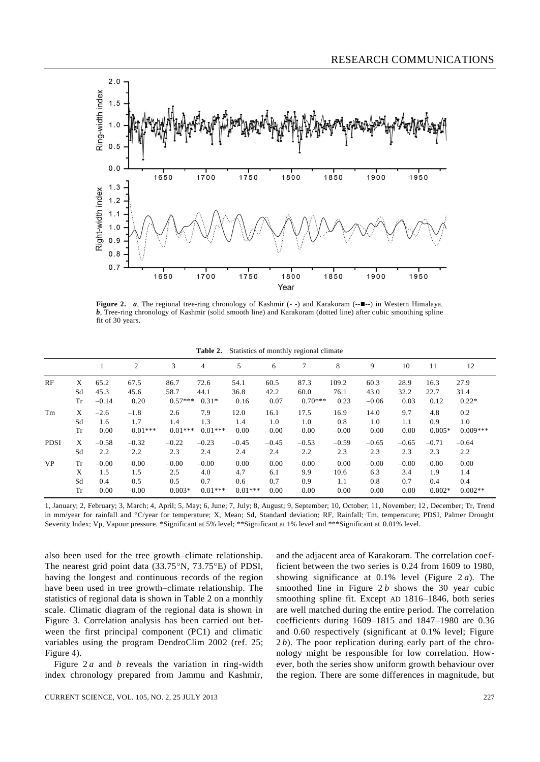

**Figure 2.** *a*, The regional tree-ring chronology of Kashmir (--) and Karakoram (-- $\blacksquare$ --) in Western Himalaya. *b*, Tree-ring chronology of Kashmir (solid smooth line) and Karakoram (dotted line) after cubic smoothing spline fit of 30 years.

|  |  | <b>Table 2.</b> Statistics of monthly regional climate |  |
|--|--|--------------------------------------------------------|--|
|--|--|--------------------------------------------------------|--|

|             |           |         | 2         | 3         | $\overline{4}$ | 5         | 6       |           | 8       | 9       | 10      | 11       | 12         |
|-------------|-----------|---------|-----------|-----------|----------------|-----------|---------|-----------|---------|---------|---------|----------|------------|
| RF          | X         | 65.2    | 67.5      | 86.7      | 72.6           | 54.1      | 60.5    | 87.3      | 109.2   | 60.3    | 28.9    | 16.3     | 27.9       |
|             | Sd        | 45.3    | 45.6      | 58.7      | 44.1           | 36.8      | 42.2    | 60.0      | 76.1    | 43.0    | 32.2    | 22.7     | 31.4       |
|             | Tr        | $-0.14$ | 0.20      | $0.57***$ | $0.31*$        | 0.16      | 0.07    | $0.70***$ | 0.23    | $-0.06$ | 0.03    | 0.12     | $0.22*$    |
| Tm          | X         | $-2.6$  | $-1.8$    | 2.6       | 7.9            | 12.0      | 16.1    | 17.5      | 16.9    | 14.0    | 9.7     | 4.8      | 0.2        |
|             | Sd        | 1.6     | 1.7       | 1.4       | 1.3            | 1.4       | 1.0     | 1.0       | 0.8     | 1.0     | 1.1     | 0.9      | 1.0        |
|             | Tr        | 0.00    | $0.01***$ | $0.01***$ | $0.01***$      | 0.00      | $-0.00$ | $-0.00$   | $-0.00$ | 0.00    | 0.00    | $0.005*$ | $0.009***$ |
| <b>PDSI</b> | X         | $-0.58$ | $-0.32$   | $-0.22$   | $-0.23$        | $-0.45$   | $-0.45$ | $-0.53$   | $-0.59$ | $-0.65$ | $-0.65$ | $-0.71$  | $-0.64$    |
|             | Sd        | 2.2     | 2.2       | 2.3       | 2.4            | 2.4       | 2.4     | 2.2       | 2.3     | 2.3     | 2.3     | 2.3      | 2.2        |
| <b>VP</b>   | <b>Tr</b> | $-0.00$ | $-0.00$   | $-0.00$   | $-0.00$        | 0.00      | 0.00    | $-0.00$   | 0.00    | $-0.00$ | $-0.00$ | $-0.00$  | $-0.00$    |
|             | X         | 1.5     | 1.5       | 2.5       | 4.0            | 4.7       | 6.1     | 9.9       | 10.6    | 6.3     | 3.4     | 1.9      | 1.4        |
|             | Sd        | 0.4     | 0.5       | 0.5       | 0.7            | 0.6       | 0.7     | 0.9       | 1.1     | 0.8     | 0.7     | 0.4      | 0.4        |
|             | Tr        | 0.00    | 0.00      | $0.003*$  | $0.01***$      | $0.01***$ | 0.00    | 0.00      | 0.00    | 0.00    | 0.00    | $0.002*$ | $0.002**$  |

1, January; 2, February; 3, March; 4, April; 5, May; 6, June; 7, July; 8, August; 9, September; 10, October; 11, November; 12 , December; Tr, Trend in mm/year for rainfall and °C/year for temperature; X, Mean; Sd, Standard deviation; RF, Rainfall; Tm, temperature; PDSI, Palmer Drought Severity Index; Vp, Vapour pressure. \*Significant at 5% level; \*\*Significant at 1% level and \*\*\*Significant at 0.01% level.

also been used for the tree growth–climate relationship. The nearest grid point data  $(33.75\textdegree N, 73.75\textdegree E)$  of PDSI, having the longest and continuous records of the region have been used in tree growth–climate relationship. The statistics of regional data is shown in Table 2 on a monthly scale. Climatic diagram of the regional data is shown in Figure 3. Correlation analysis has been carried out between the first principal component (PC1) and climatic variables using the program DendroClim 2002 (ref. 25; Figure 4).

Figure 2 *a* and *b* reveals the variation in ring-width index chronology prepared from Jammu and Kashmir,

and the adjacent area of Karakoram. The correlation coefficient between the two series is 0.24 from 1609 to 1980, showing significance at 0.1% level (Figure 2 *a*). The smoothed line in Figure 2 *b* shows the 30 year cubic smoothing spline fit. Except AD 1816–1846, both series are well matched during the entire period. The correlation coefficients during 1609–1815 and 1847–1980 are 0.36 and 0.60 respectively (significant at 0.1% level; Figure 2*b*). The poor replication during early part of the chronology might be responsible for low correlation. However, both the series show uniform growth behaviour over the region. There are some differences in magnitude, but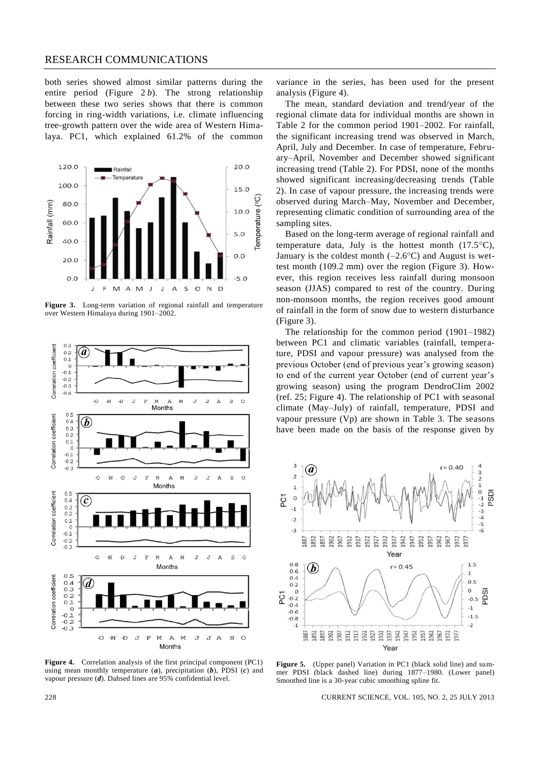## RESEARCH COMMUNICATIONS

both series showed almost similar patterns during the entire period (Figure 2 *b*). The strong relationship between these two series shows that there is common forcing in ring-width variations, i.e. climate influencing tree-growth pattern over the wide area of Western Himalaya. PC1, which explained 61.2% of the common



**Figure 3.** Long-term variation of regional rainfall and temperature over Western Himalaya during 1901–2002.



**Figure 4.** Correlation analysis of the first principal component (PC1) using mean monthly temperature (*a*), precipitation (*b*), PDSI (*c*) and vapour pressure (*d*). Dahsed lines are 95% confidential level.

variance in the series, has been used for the present analysis (Figure 4).

The mean, standard deviation and trend/year of the regional climate data for individual months are shown in Table 2 for the common period 1901–2002. For rainfall, the significant increasing trend was observed in March, April, July and December. In case of temperature, February–April, November and December showed significant increasing trend (Table 2). For PDSI, none of the months showed significant increasing/decreasing trends (Table 2). In case of vapour pressure, the increasing trends were observed during March–May, November and December, representing climatic condition of surrounding area of the sampling sites.

Based on the long-term average of regional rainfall and temperature data, July is the hottest month  $(17.5^{\circ}C)$ , January is the coldest month  $(-2.6^{\circ}C)$  and August is wettest month (109.2 mm) over the region (Figure 3). However, this region receives less rainfall during monsoon season (JJAS) compared to rest of the country. During non-monsoon months, the region receives good amount of rainfall in the form of snow due to western disturbance (Figure 3).

The relationship for the common period (1901–1982) between PC1 and climatic variables (rainfall, temperature, PDSI and vapour pressure) was analysed from the previous October (end of previous year's growing season) to end of the current year October (end of current year's growing season) using the program DendroClim 2002 (ref. 25; Figure 4). The relationship of PC1 with seasonal climate (May–July) of rainfall, temperature, PDSI and vapour pressure (Vp) are shown in Table 3. The seasons have been made on the basis of the response given by



**Figure 5.** (Upper panel) Variation in PC1 (black solid line) and summer PDSI (black dashed line) during 1877–1980. (Lower panel) Smoothed line is a 30-year cubic smoothing spline fit.

228 CURRENT SCIENCE, VOL. 105, NO. 2, 25 JULY 2013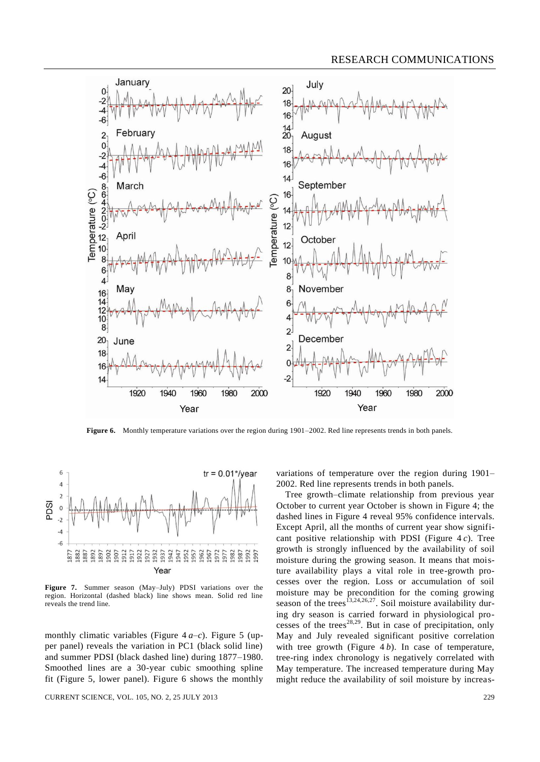

**Figure 6.** Monthly temperature variations over the region during 1901–2002. Red line represents trends in both panels.



**Figure 7.** Summer season (May–July) PDSI variations over the region. Horizontal (dashed black) line shows mean. Solid red line reveals the trend line.

monthly climatic variables (Figure  $4a-c$ ). Figure 5 (upper panel) reveals the variation in PC1 (black solid line) and summer PDSI (black dashed line) during 1877–1980. Smoothed lines are a 30-year cubic smoothing spline fit (Figure 5, lower panel). Figure 6 shows the monthly

CURRENT SCIENCE, VOL. 105, NO. 2, 25 JULY 2013 229

variations of temperature over the region during 1901– 2002. Red line represents trends in both panels.

Tree growth–climate relationship from previous year October to current year October is shown in Figure 4; the dashed lines in Figure 4 reveal 95% confidence intervals. Except April, all the months of current year show significant positive relationship with PDSI (Figure 4 *c*). Tree growth is strongly influenced by the availability of soil moisture during the growing season. It means that moisture availability plays a vital role in tree-growth processes over the region. Loss or accumulation of soil moisture may be precondition for the coming growing season of the trees<sup>13,24,26,27</sup>. Soil moisture availability during dry season is carried forward in physiological processes of the trees<sup>28,29</sup>. But in case of precipitation, only May and July revealed significant positive correlation with tree growth (Figure 4 *b*). In case of temperature, tree-ring index chronology is negatively correlated with May temperature. The increased temperature during May might reduce the availability of soil moisture by increas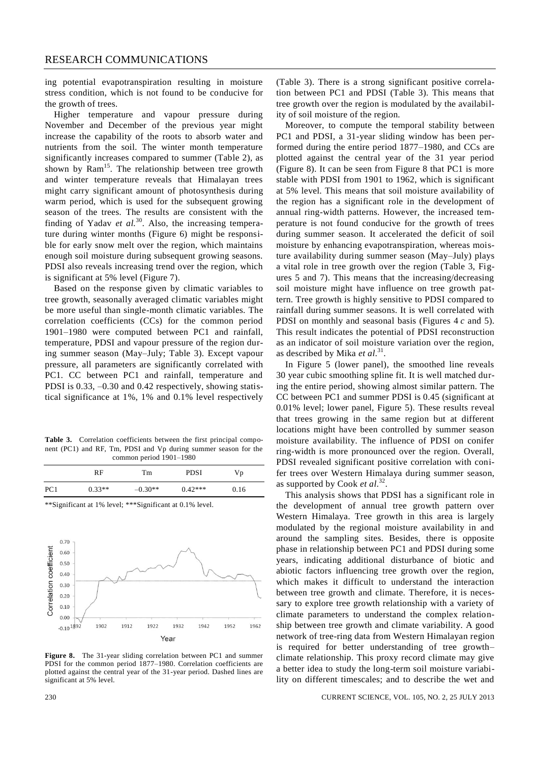ing potential evapotranspiration resulting in moisture stress condition, which is not found to be conducive for the growth of trees.

Higher temperature and vapour pressure during November and December of the previous year might increase the capability of the roots to absorb water and nutrients from the soil. The winter month temperature significantly increases compared to summer (Table 2), as shown by  $Ram<sup>15</sup>$ . The relationship between tree growth and winter temperature reveals that Himalayan trees might carry significant amount of photosynthesis during warm period, which is used for the subsequent growing season of the trees. The results are consistent with the finding of Yadav *et al.*<sup>30</sup>. Also, the increasing temperature during winter months (Figure 6) might be responsible for early snow melt over the region, which maintains enough soil moisture during subsequent growing seasons. PDSI also reveals increasing trend over the region, which is significant at 5% level (Figure 7).

Based on the response given by climatic variables to tree growth, seasonally averaged climatic variables might be more useful than single-month climatic variables. The correlation coefficients (CCs) for the common period 1901–1980 were computed between PC1 and rainfall, temperature, PDSI and vapour pressure of the region during summer season (May–July; Table 3). Except vapour pressure, all parameters are significantly correlated with PC1. CC between PC1 and rainfall, temperature and PDSI is 0.33,  $-0.30$  and 0.42 respectively, showing statistical significance at 1%, 1% and 0.1% level respectively

**Table 3.** Correlation coefficients between the first principal component (PC1) and RF, Tm, PDSI and Vp during summer season for the common period 1901–1980

|                 | RF       | Tm        | <b>PDSI</b> | Vp   |  |
|-----------------|----------|-----------|-------------|------|--|
| PC <sub>1</sub> | $0.33**$ | $-0.30**$ | $0.42***$   | 0.16 |  |

\*\*Significant at 1% level; \*\*\*Significant at 0.1% level.



**Figure 8.** The 31-year sliding correlation between PC1 and summer PDSI for the common period 1877–1980. Correlation coefficients are plotted against the central year of the 31-year period. Dashed lines are significant at 5% level.

(Table 3). There is a strong significant positive correlation between PC1 and PDSI (Table 3). This means that tree growth over the region is modulated by the availability of soil moisture of the region.

Moreover, to compute the temporal stability between PC1 and PDSI, a 31-year sliding window has been performed during the entire period 1877–1980, and CCs are plotted against the central year of the 31 year period (Figure 8). It can be seen from Figure 8 that PC1 is more stable with PDSI from 1901 to 1962, which is significant at 5% level. This means that soil moisture availability of the region has a significant role in the development of annual ring-width patterns. However, the increased temperature is not found conducive for the growth of trees during summer season. It accelerated the deficit of soil moisture by enhancing evapotranspiration, whereas moisture availability during summer season (May–July) plays a vital role in tree growth over the region (Table 3, Figures 5 and 7). This means that the increasing/decreasing soil moisture might have influence on tree growth pattern. Tree growth is highly sensitive to PDSI compared to rainfall during summer seasons. It is well correlated with PDSI on monthly and seasonal basis (Figures 4 *c* and 5). This result indicates the potential of PDSI reconstruction as an indicator of soil moisture variation over the region, as described by Mika et al.<sup>31</sup>.

In Figure 5 (lower panel), the smoothed line reveals 30 year cubic smoothing spline fit. It is well matched during the entire period, showing almost similar pattern. The CC between PC1 and summer PDSI is 0.45 (significant at 0.01% level; lower panel, Figure 5). These results reveal that trees growing in the same region but at different locations might have been controlled by summer season moisture availability. The influence of PDSI on conifer ring-width is more pronounced over the region. Overall, PDSI revealed significant positive correlation with conifer trees over Western Himalaya during summer season, as supported by Cook *et al*. 32 .

This analysis shows that PDSI has a significant role in the development of annual tree growth pattern over Western Himalaya. Tree growth in this area is largely modulated by the regional moisture availability in and around the sampling sites. Besides, there is opposite phase in relationship between PC1 and PDSI during some years, indicating additional disturbance of biotic and abiotic factors influencing tree growth over the region, which makes it difficult to understand the interaction between tree growth and climate. Therefore, it is necessary to explore tree growth relationship with a variety of climate parameters to understand the complex relationship between tree growth and climate variability. A good network of tree-ring data from Western Himalayan region is required for better understanding of tree growth– climate relationship. This proxy record climate may give a better idea to study the long-term soil moisture variability on different timescales; and to describe the wet and